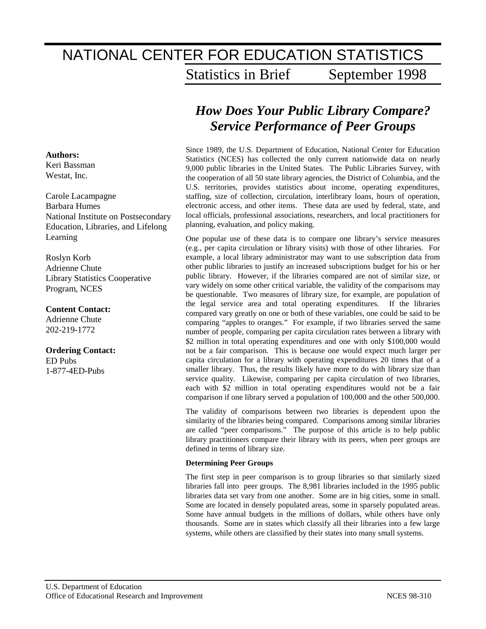# NATIONAL CENTER FOR EDUCATION STATISTICS Statistics in Brief September 1998

# *How Does Your Public Library Compare? Service Performance of Peer Groups*

Since 1989, the U.S. Department of Education, National Center for Education Statistics (NCES) has collected the only current nationwide data on nearly 9,000 public libraries in the United States. The Public Libraries Survey, with the cooperation of all 50 state library agencies, the District of Columbia, and the U.S. territories, provides statistics about income, operating expenditures, staffing, size of collection, circulation, interlibrary loans, hours of operation, electronic access, and other items. These data are used by federal, state, and local officials, professional associations, researchers, and local practitioners for planning, evaluation, and policy making.

One popular use of these data is to compare one library's service measures (e.g., per capita circulation or library visits) with those of other libraries. For example, a local library administrator may want to use subscription data from other public libraries to justify an increased subscriptions budget for his or her public library. However, if the libraries compared are not of similar size, or vary widely on some other critical variable, the validity of the comparisons may be questionable. Two measures of library size, for example, are population of the legal service area and total operating expenditures. If the libraries compared vary greatly on one or both of these variables, one could be said to be comparing "apples to oranges." For example, if two libraries served the same number of people, comparing per capita circulation rates between a library with \$2 million in total operating expenditures and one with only \$100,000 would not be a fair comparison. This is because one would expect much larger per capita circulation for a library with operating expenditures 20 times that of a smaller library. Thus, the results likely have more to do with library size than service quality. Likewise, comparing per capita circulation of two libraries, each with \$2 million in total operating expenditures would not be a fair comparison if one library served a population of 100,000 and the other 500,000.

The validity of comparisons between two libraries is dependent upon the similarity of the libraries being compared. Comparisons among similar libraries are called "peer comparisons." The purpose of this article is to help public library practitioners compare their library with its peers, when peer groups are defined in terms of library size.

#### **Determining Peer Groups**

The first step in peer comparison is to group libraries so that similarly sized libraries fall into peer groups. The 8,981 libraries included in the 1995 public libraries data set vary from one another. Some are in big cities, some in small. Some are located in densely populated areas, some in sparsely populated areas. Some have annual budgets in the millions of dollars, while others have only thousands. Some are in states which classify all their libraries into a few large systems, while others are classified by their states into many small systems.

## **Authors:**

Keri Bassman Westat, Inc*.*

Carole Lacampagne Barbara Humes National Institute on Postsecondary Education, Libraries, and Lifelong Learning

Roslyn Korb Adrienne Chute Library Statistics Cooperative Program, NCES

#### **Content Contact:**

Adrienne Chute 202-219-1772

**Ordering Contact:** ED Pubs 1-877-4ED-Pubs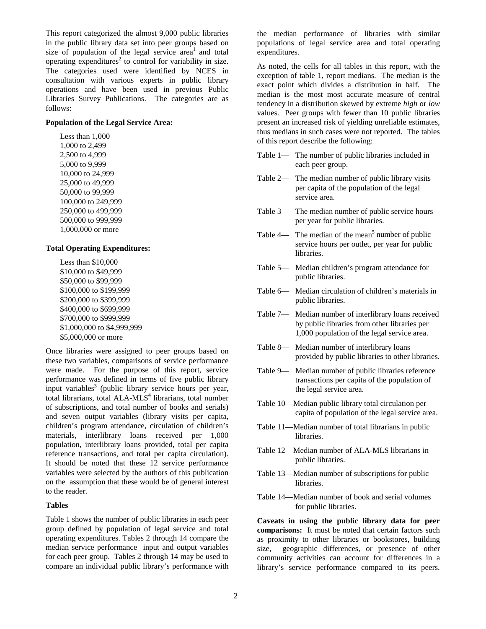This report categorized the almost 9,000 public libraries in the public library data set into peer groups based on size of population of the legal service area<sup>1</sup> and total operating expenditures<sup>2</sup> to control for variability in size. The categories used were identified by NCES in consultation with various experts in public library operations and have been used in previous Public Libraries Survey Publications. The categories are as follows:

#### **Population of the Legal Service Area:**

 Less than 1,000 1,000 to 2,499 2,500 to 4,999 5,000 to 9,999 10,000 to 24,999 25,000 to 49,999 50,000 to 99,999 100,000 to 249,999 250,000 to 499,999 500,000 to 999,999 1,000,000 or more

#### **Total Operating Expenditures:**

 Less than \$10,000 \$10,000 to \$49,999 \$50,000 to \$99,999 \$100,000 to \$199,999 \$200,000 to \$399,999 \$400,000 to \$699,999 \$700,000 to \$999,999 \$1,000,000 to \$4,999,999 \$5,000,000 or more

Once libraries were assigned to peer groups based on these two variables, comparisons of service performance were made. For the purpose of this report, service performance was defined in terms of five public library input variables<sup>3</sup> (public library service hours per year, total librarians, total ALA-MLS<sup>4</sup> librarians, total number of subscriptions, and total number of books and serials) and seven output variables (library visits per capita, children's program attendance, circulation of children's materials, interlibrary loans received per 1,000 population, interlibrary loans provided, total per capita reference transactions, and total per capita circulation). It should be noted that these 12 service performance variables were selected by the authors of this publication on the assumption that these would be of general interest to the reader.

#### **Tables**

Table 1 shows the number of public libraries in each peer group defined by population of legal service and total operating expenditures. Tables 2 through 14 compare the median service performance input and output variables for each peer group. Tables 2 through 14 may be used to compare an individual public library's performance with

the median performance of libraries with similar populations of legal service area and total operating expenditures.

As noted, the cells for all tables in this report, with the exception of table 1, report medians. The median is the exact point which divides a distribution in half. The median is the most most accurate measure of central tendency in a distribution skewed by extreme *high* or *low* values. Peer groups with fewer than 10 public libraries present an increased risk of yielding unreliable estimates, thus medians in such cases were not reported. The tables of this report describe the following:

- Table 1— The number of public libraries included in each peer group.
- Table 2— The median number of public library visits per capita of the population of the legal service area.
- Table 3— The median number of public service hours per year for public libraries.
- Table  $4$  The median of the mean<sup>5</sup> number of public service hours per outlet, per year for public libraries.
- Table 5— Median children's program attendance for public libraries.
- Table 6— Median circulation of children's materials in public libraries.
- Table 7— Median number of interlibrary loans received by public libraries from other libraries per 1,000 population of the legal service area.
- Table 8— Median number of interlibrary loans provided by public libraries to other libraries.
- Table 9— Median number of public libraries reference transactions per capita of the population of the legal service area.
- Table 10—Median public library total circulation per capita of population of the legal service area.
- Table 11—Median number of total librarians in public libraries.
- Table 12—Median number of ALA-MLS librarians in public libraries.
- Table 13—Median number of subscriptions for public **libraries**
- Table 14—Median number of book and serial volumes for public libraries.

**Caveats in using the public library data for peer comparisons:** It must be noted that certain factors such as proximity to other libraries or bookstores, building size, geographic differences, or presence of other community activities can account for differences in a library's service performance compared to its peers.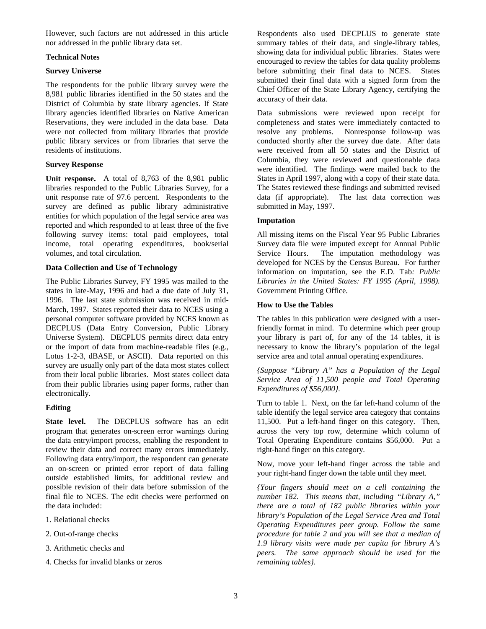However, such factors are not addressed in this article nor addressed in the public library data set.

#### **Technical Notes**

#### **Survey Universe**

The respondents for the public library survey were the 8,981 public libraries identified in the 50 states and the District of Columbia by state library agencies. If State library agencies identified libraries on Native American Reservations, they were included in the data base. Data were not collected from military libraries that provide public library services or from libraries that serve the residents of institutions.

#### **Survey Response**

**Unit response.** A total of 8,763 of the 8,981 public libraries responded to the Public Libraries Survey, for a unit response rate of 97.6 percent. Respondents to the survey are defined as public library administrative entities for which population of the legal service area was reported and which responded to at least three of the five following survey items: total paid employees, total income, total operating expenditures, book/serial volumes, and total circulation.

#### **Data Collection and Use of Technology**

The Public Libraries Survey, FY 1995 was mailed to the states in late-May, 1996 and had a due date of July 31, 1996. The last state submission was received in mid-March, 1997. States reported their data to NCES using a personal computer software provided by NCES known as DECPLUS (Data Entry Conversion, Public Library Universe System). DECPLUS permits direct data entry or the import of data from machine-readable files (e.g., Lotus 1-2-3, dBASE, or ASCII). Data reported on this survey are usually only part of the data most states collect from their local public libraries. Most states collect data from their public libraries using paper forms, rather than electronically.

#### **Editing**

**State level.** The DECPLUS software has an edit program that generates on-screen error warnings during the data entry/import process, enabling the respondent to review their data and correct many errors immediately. Following data entry/import, the respondent can generate an on-screen or printed error report of data falling outside established limits, for additional review and possible revision of their data before submission of the final file to NCES. The edit checks were performed on the data included:

- 1. Relational checks
- 2. Out-of-range checks
- 3. Arithmetic checks and
- 4. Checks for invalid blanks or zeros

Respondents also used DECPLUS to generate state summary tables of their data, and single-library tables, showing data for individual public libraries. States were encouraged to review the tables for data quality problems before submitting their final data to NCES. States submitted their final data with a signed form from the Chief Officer of the State Library Agency, certifying the accuracy of their data.

Data submissions were reviewed upon receipt for completeness and states were immediately contacted to resolve any problems. Nonresponse follow-up was conducted shortly after the survey due date. After data were received from all 50 states and the District of Columbia, they were reviewed and questionable data were identified. The findings were mailed back to the States in April 1997, along with a copy of their state data. The States reviewed these findings and submitted revised data (if appropriate). The last data correction was submitted in May, 1997.

### **Imputation**

All missing items on the Fiscal Year 95 Public Libraries Survey data file were imputed except for Annual Public Service Hours. The imputation methodology was developed for NCES by the Census Bureau. For further information on imputation, see the E.D. Tab*: Public Libraries in the United States: FY 1995 (April, 1998).* Government Printing Office*.*

#### **How to Use the Tables**

The tables in this publication were designed with a userfriendly format in mind. To determine which peer group your library is part of, for any of the 14 tables, it is necessary to know the library's population of the legal service area and total annual operating expenditures.

*{Suppose "Library A" has a Population of the Legal Service Area of 11,500 people and Total Operating Expenditures of \$56,000}.*

Turn to table 1. Next, on the far left-hand column of the table identify the legal service area category that contains 11,500. Put a left-hand finger on this category. Then, across the very top row, determine which column of Total Operating Expenditure contains \$56,000. Put a right-hand finger on this category.

Now, move your left-hand finger across the table and your right-hand finger down the table until they meet.

*{Your fingers should meet on a cell containing the number 182. This means that, including "Library A," there are a total of 182 public libraries within your library's Population of the Legal Service Area and Total Operating Expenditures peer group. Follow the same procedure for table 2 and you will see that a median of 1.9 library visits were made per capita for library A's peers. The same approach should be used for the remaining tables}.*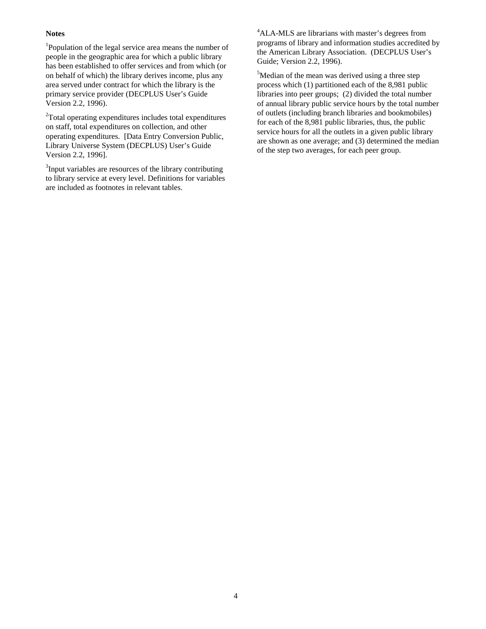#### **Notes**

<sup>1</sup>Population of the legal service area means the number of people in the geographic area for which a public library has been established to offer services and from which (or on behalf of which) the library derives income, plus any area served under contract for which the library is the primary service provider (DECPLUS User's Guide Version 2.2, 1996).

<sup>2</sup>Total operating expenditures includes total expenditures on staff, total expenditures on collection, and other operating expenditures. [Data Entry Conversion Public, Library Universe System (DECPLUS) User's Guide Version 2.2, 1996].

<sup>3</sup>Input variables are resources of the library contributing to library service at every level. Definitions for variables are included as footnotes in relevant tables.

<sup>4</sup>ALA-MLS are librarians with master's degrees from programs of library and information studies accredited by the American Library Association. (DECPLUS User's Guide; Version 2.2, 1996).

<sup>5</sup>Median of the mean was derived using a three step process which (1) partitioned each of the 8,981 public libraries into peer groups; (2) divided the total number of annual library public service hours by the total number of outlets (including branch libraries and bookmobiles) for each of the 8,981 public libraries, thus, the public service hours for all the outlets in a given public library are shown as one average; and (3) determined the median of the step two averages, for each peer group.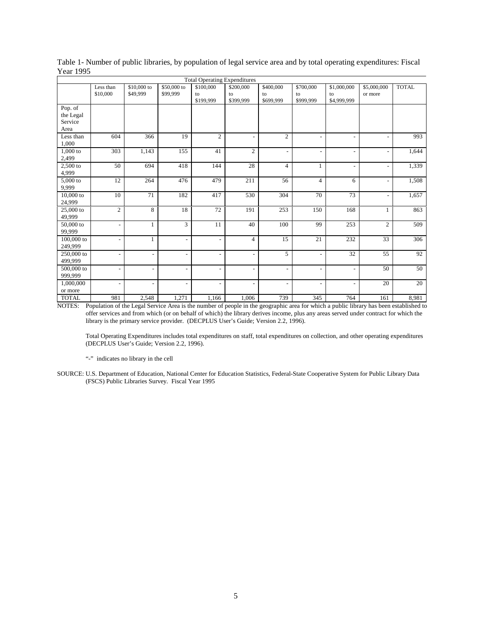|                       | <b>Total Operating Expenditures</b> |                          |                          |                          |                          |                          |                          |                          |                |              |  |
|-----------------------|-------------------------------------|--------------------------|--------------------------|--------------------------|--------------------------|--------------------------|--------------------------|--------------------------|----------------|--------------|--|
|                       | Less than                           | \$10,000 to              | \$50,000 to              | \$100,000                | \$200,000                | \$400,000                | \$700,000                | \$1,000,000              | \$5,000,000    | <b>TOTAL</b> |  |
|                       | \$10,000                            | \$49,999                 | \$99,999                 | to<br>\$199,999          | to<br>\$399,999          | to                       | to<br>\$999,999          | to                       | or more        |              |  |
|                       |                                     |                          |                          |                          |                          | \$699,999                |                          | \$4,999,999              |                |              |  |
| Pop. of               |                                     |                          |                          |                          |                          |                          |                          |                          |                |              |  |
| the Legal<br>Service  |                                     |                          |                          |                          |                          |                          |                          |                          |                |              |  |
| Area                  |                                     |                          |                          |                          |                          |                          |                          |                          |                |              |  |
| Less than             | 604                                 | 366                      | 19                       | $\overline{c}$           |                          | $\overline{c}$           | $\overline{a}$           | $\overline{a}$           |                | 993          |  |
| 1,000                 |                                     |                          |                          |                          |                          |                          |                          |                          |                |              |  |
| $1,000$ to            | 303                                 | 1,143                    | 155                      | 41                       | $\overline{2}$           | $\blacksquare$           | $\overline{\phantom{a}}$ | $\overline{\phantom{a}}$ |                | 1,644        |  |
| 2,499                 |                                     |                          |                          |                          |                          |                          |                          |                          |                |              |  |
| $2,500$ to            | 50                                  | 694                      | 418                      | 144                      | 28                       | $\overline{4}$           | $\mathbf{1}$             | $\overline{\phantom{a}}$ |                | 1,339        |  |
| 4,999                 |                                     |                          |                          |                          |                          |                          |                          |                          |                |              |  |
| 5,000 to              | 12                                  | 264                      | 476                      | 479                      | 211                      | 56                       | $\overline{4}$           | 6                        | ÷,             | 1,508        |  |
| 9.999                 |                                     |                          |                          |                          |                          |                          |                          |                          |                |              |  |
| 10,000 to             | 10                                  | 71                       | 182                      | 417                      | 530                      | 304                      | 70                       | 73                       | $\overline{a}$ | 1,657        |  |
| 24,999                |                                     |                          |                          |                          |                          |                          |                          |                          |                |              |  |
| 25,000 to             | $\overline{2}$                      | 8                        | 18                       | 72                       | 191                      | 253                      | 150                      | 168                      | 1              | 863          |  |
| 49,999                |                                     |                          |                          |                          |                          |                          |                          |                          |                |              |  |
| 50,000 to             | ٠                                   | $\mathbf{1}$             | 3                        | 11                       | 40                       | 100                      | 99                       | 253                      | $\overline{c}$ | 509          |  |
| 99.999                |                                     |                          |                          |                          |                          |                          |                          |                          |                |              |  |
| 100,000 to            | ۰                                   | $\mathbf{1}$             | $\overline{\phantom{a}}$ | $\overline{\phantom{a}}$ | $\overline{4}$           | 15                       | 21                       | 232                      | 33             | 306          |  |
| 249.999               |                                     |                          |                          |                          |                          |                          |                          |                          |                |              |  |
| 250,000 to<br>499,999 | $\qquad \qquad \blacksquare$        | $\overline{\phantom{a}}$ | $\overline{\phantom{a}}$ | $\overline{\phantom{a}}$ | $\overline{\phantom{a}}$ | 5                        | $\overline{\phantom{a}}$ | 32                       | 55             | 92           |  |
| 500,000 to            |                                     |                          |                          |                          |                          |                          |                          |                          | 50             | 50           |  |
| 999,999               | $\qquad \qquad \blacksquare$        | $\overline{\phantom{a}}$ | $\overline{\phantom{a}}$ | $\overline{\phantom{a}}$ | $\overline{\phantom{a}}$ | $\overline{\phantom{a}}$ | $\overline{\phantom{a}}$ | $\overline{\phantom{a}}$ |                |              |  |
| 1,000,000             | $\qquad \qquad \blacksquare$        | $\overline{a}$           | $\overline{\phantom{a}}$ | $\blacksquare$           | $\overline{a}$           | $\overline{\phantom{a}}$ | $\overline{a}$           | $\overline{\phantom{a}}$ | 20             | 20           |  |
| or more               |                                     |                          |                          |                          |                          |                          |                          |                          |                |              |  |
| <b>TOTAL</b>          | 981                                 | 2,548                    | 1,271                    | 1,166                    | 1,006                    | 739                      | 345                      | 764                      | 161            | 8,981        |  |

Table 1- Number of public libraries, by population of legal service area and by total operating expenditures: Fiscal Year 1995

NOTES: Population of the Legal Service Area is the number of people in the geographic area for which a public library has been established to offer services and from which (or on behalf of which) the library derives income, plus any areas served under contract for which the library is the primary service provider. (DECPLUS User's Guide; Version 2.2, 1996).

Total Operating Expenditures includes total expenditures on staff, total expenditures on collection, and other operating expenditures (DECPLUS User's Guide; Version 2.2, 1996).

"-" indicates no library in the cell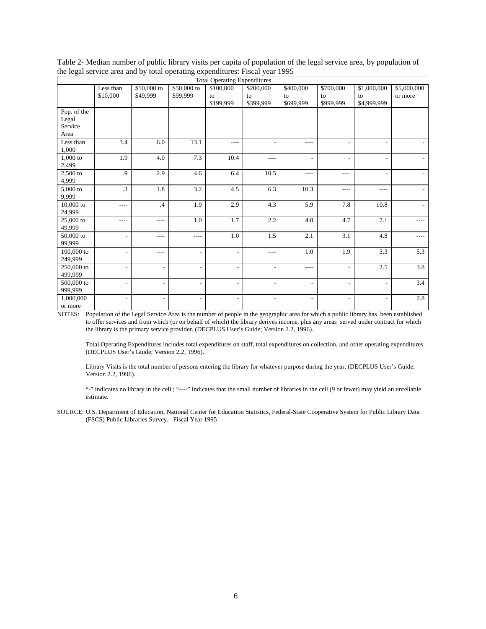|             | <b>Total Operating Expenditures</b> |                          |                          |                          |                          |                          |                          |                          |             |  |
|-------------|-------------------------------------|--------------------------|--------------------------|--------------------------|--------------------------|--------------------------|--------------------------|--------------------------|-------------|--|
|             | Less than                           | $$10,000$ to             | \$50,000 to              | \$100,000                | \$200,000                | \$400,000                | \$700,000                | \$1,000,000              | \$5,000,000 |  |
|             | \$10,000                            | \$49,999                 | \$99,999                 | to                       | to                       | to                       | to                       | to                       | or more     |  |
|             |                                     |                          |                          | \$199,999                | \$399,999                | \$699,999                | \$999,999                | \$4,999,999              |             |  |
| Pop. of the |                                     |                          |                          |                          |                          |                          |                          |                          |             |  |
| Legal       |                                     |                          |                          |                          |                          |                          |                          |                          |             |  |
| Service     |                                     |                          |                          |                          |                          |                          |                          |                          |             |  |
| Area        |                                     |                          |                          |                          |                          |                          |                          |                          |             |  |
| Less than   | 3.4                                 | 6.0                      | 13.1                     | $---$                    |                          | $---$                    | ٠                        | ٠                        |             |  |
| 1,000       |                                     |                          |                          |                          |                          |                          |                          |                          |             |  |
| $1,000$ to  | 1.9                                 | 4.0                      | 7.3                      | 10.4                     | $---$                    | ٠                        | $\overline{\phantom{a}}$ | $\overline{\phantom{a}}$ |             |  |
| 2,499       |                                     |                          |                          |                          |                          |                          |                          |                          |             |  |
| $2,500$ to  | .9                                  | 2.9                      | 4.6                      | 6.4                      | 10.5                     | $- - - -$                | $---$                    |                          |             |  |
| 4,999       |                                     |                          |                          |                          |                          |                          |                          |                          |             |  |
| $5,000$ to  | .3                                  | 1.8                      | 3.2                      | 4.5                      | 6.3                      | 10.3                     | $---$                    | ----                     |             |  |
| 9,999       |                                     |                          |                          |                          |                          |                          |                          |                          |             |  |
| $10,000$ to | $- - - -$                           | $\mathcal{A}$            | 1.9                      | 2.9                      | 4.3                      | 5.9                      | 7.8                      | 10.8                     |             |  |
| 24,999      |                                     |                          |                          |                          |                          |                          |                          |                          |             |  |
| 25,000 to   | ----                                | ----                     | 1.0                      | 1.7                      | 2.2                      | 4.0                      | 4.7                      | 7.1                      | $- - - -$   |  |
| 49,999      |                                     |                          |                          |                          |                          |                          |                          |                          |             |  |
| 50,000 to   | ٠                                   | ----                     | $---$                    | 1.0                      | 1.5                      | 2.1                      | 3.1                      | 4.8                      | $---$       |  |
| 99,999      |                                     |                          |                          |                          |                          |                          |                          |                          |             |  |
| 100,000 to  | ٠                                   | ----                     | $\overline{\phantom{m}}$ | $\overline{\phantom{a}}$ | $\cdots$                 | 1.0                      | 1.9                      | 3.3                      | 5.3         |  |
| 249,999     |                                     |                          |                          |                          |                          |                          |                          |                          |             |  |
| 250,000 to  | ٠                                   | $\overline{\phantom{a}}$ | $\overline{\phantom{a}}$ | $\overline{\phantom{a}}$ | $\overline{\phantom{a}}$ | $- - - -$                | $\sim$                   | 2.5                      | 3.8         |  |
| 499,999     |                                     |                          |                          |                          |                          |                          |                          |                          |             |  |
| 500,000 to  | ٠                                   | $\overline{\phantom{a}}$ | $\overline{\phantom{a}}$ | $\overline{\phantom{a}}$ | $\overline{\phantom{a}}$ | ٠                        | $\overline{\phantom{a}}$ | $\overline{\phantom{a}}$ | 3.4         |  |
| 999,999     |                                     |                          |                          |                          |                          |                          |                          |                          |             |  |
| 1,000,000   | ۰                                   | $\overline{\phantom{a}}$ | $\overline{\phantom{a}}$ | $\overline{\phantom{a}}$ | $\overline{\phantom{a}}$ | $\overline{\phantom{0}}$ | ٠                        | $\overline{\phantom{a}}$ | $2.8\,$     |  |
| or more     |                                     |                          |                          |                          |                          |                          |                          |                          |             |  |

Table 2- Median number of public library visits per capita of population of the legal service area, by population of the legal service area and by total operating expenditures: Fiscal year 1995

Total Operating Expenditures includes total expenditures on staff, total expenditures on collection, and other operating expenditures (DECPLUS User's Guide; Version 2.2, 1996).

Library Visits is the total number of persons entering the library for whatever purpose during the year. (DECPLUS User's Guide; Version 2.2, 1996).

"-" indicates no library in the cell ; "----" indicates that the small number of libraries in the cell (9 or fewer) may yield an unreliable estimate.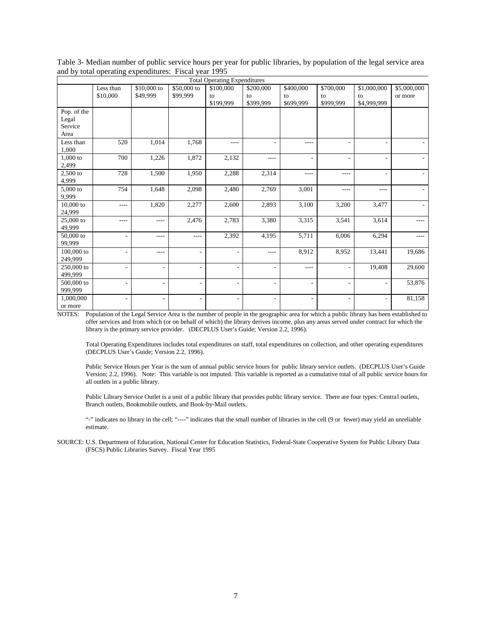| Table 3- Median number of public service hours per year for public libraries, by population of the legal service area |  |
|-----------------------------------------------------------------------------------------------------------------------|--|
| and by total operating expenditures: Fiscal year 1995                                                                 |  |

|              | <b>Total Operating Expenditures</b> |                          |                          |                          |                          |                          |                          |                          |             |  |
|--------------|-------------------------------------|--------------------------|--------------------------|--------------------------|--------------------------|--------------------------|--------------------------|--------------------------|-------------|--|
|              | Less than                           | \$10,000 to              | \$50,000 to              | \$100,000                | \$200,000                | \$400,000                | \$700,000                | \$1,000,000              | \$5,000,000 |  |
|              | \$10,000                            | \$49,999                 | \$99,999                 | to                       | to                       | to                       | to                       | to                       | or more     |  |
|              |                                     |                          |                          | \$199,999                | \$399,999                | \$699,999                | \$999,999                | \$4,999,999              |             |  |
| Pop. of the  |                                     |                          |                          |                          |                          |                          |                          |                          |             |  |
| Legal        |                                     |                          |                          |                          |                          |                          |                          |                          |             |  |
| Service      |                                     |                          |                          |                          |                          |                          |                          |                          |             |  |
| Area         |                                     |                          |                          |                          |                          |                          |                          |                          |             |  |
| Less than    | 520                                 | 1,014                    | 1,768                    | $---$                    |                          | $- - - -$                | ۰                        | $\overline{\phantom{0}}$ |             |  |
| 1,000        |                                     |                          |                          |                          |                          |                          |                          |                          |             |  |
| $1,000$ to   | 700                                 | 1,226                    | 1,872                    | 2,132                    | $---$                    | ٠                        | $\overline{\phantom{a}}$ | $\overline{\phantom{0}}$ |             |  |
| 2,499        |                                     |                          |                          |                          |                          |                          |                          |                          |             |  |
| $2,500$ to   | 728                                 | 1,500                    | 1,950                    | 2,288                    | 2,314                    | $- - - -$                | ----                     | $\overline{\phantom{a}}$ |             |  |
| 4,999        |                                     |                          |                          |                          |                          |                          |                          |                          |             |  |
| $5,000$ to   | 754                                 | 1,648                    | 2,098                    | 2,480                    | 2,769                    | 3,001                    | ----                     | ----                     |             |  |
| 9,999        |                                     |                          |                          |                          |                          |                          |                          |                          |             |  |
| 10,000 to    | ----                                | 1,820                    | 2,277                    | 2,600                    | 2,893                    | 3,100                    | 3,200                    | 3,477                    |             |  |
| 24,999       |                                     |                          |                          |                          |                          |                          |                          |                          |             |  |
| 25,000 to    | ----                                | ----                     | 2,476                    | 2,783                    | 3,380                    | 3,315                    | 3,541                    | 3,614                    | ----        |  |
| 49.999       |                                     |                          |                          |                          |                          |                          |                          |                          |             |  |
| 50,000 to    | ٠                                   | ----                     | ----                     | 2,392                    | 4,195                    | 5,711                    | 6,006                    | 6,294                    | ----        |  |
| 99,999       |                                     |                          |                          |                          |                          |                          |                          |                          |             |  |
| $100,000$ to | ۰                                   | ----                     | ÷,                       | $\overline{\phantom{a}}$ | $- - - -$                | 8,912                    | 8,952                    | 13,441                   | 19,686      |  |
| 249,999      |                                     |                          |                          |                          |                          |                          |                          |                          |             |  |
| 250,000 to   | ÷,                                  | $\overline{\phantom{a}}$ | $\overline{\phantom{a}}$ | $\blacksquare$           | $\overline{\phantom{a}}$ | $- - - -$                | ٠                        | 19,408                   | 29,600      |  |
| 499,999      |                                     |                          |                          |                          |                          |                          |                          |                          |             |  |
| 500,000 to   | ۰                                   | $\overline{\phantom{a}}$ | $\overline{\phantom{a}}$ | $\overline{\phantom{a}}$ | $\overline{\phantom{a}}$ | $\overline{\phantom{a}}$ | $\overline{\phantom{a}}$ | $\overline{\phantom{a}}$ | 53,876      |  |
| 999,999      |                                     |                          |                          |                          |                          |                          |                          |                          |             |  |
| 1,000,000    | $\overline{\phantom{m}}$            | $\overline{\phantom{a}}$ | $\overline{\phantom{a}}$ | $\overline{\phantom{a}}$ | $\overline{\phantom{a}}$ | $\overline{\phantom{m}}$ | $\overline{\phantom{a}}$ | $\overline{\phantom{a}}$ | 81,158      |  |
| or more      |                                     |                          |                          |                          |                          |                          |                          |                          |             |  |

Total Operating Expenditures includes total expenditures on staff, total expenditures on collection, and other operating expenditures (DECPLUS User's Guide; Version 2.2, 1996).

Public Service Hours per Year is the sum of annual public service hours for public library service outlets. (DECPLUS User's Guide Version; 2.2, 1996). Note: This variable is not imputed. This variable is reported as a cumulative total of all public service hours for all outlets in a public library.

Public Library Service Outlet is a unit of a public library that provides public library service. There are four types: Central outlets, Branch outlets, Bookmobile outlets, and Book-by-Mail outlets.

"-" indicates no library in the cell; "----" indicates that the small number of libraries in the cell (9 or fewer) may yield an unreliable estimate.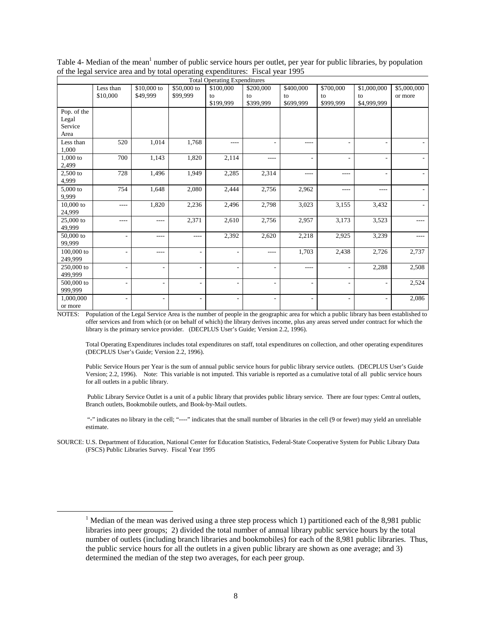|              | <b>Total Operating Expenditures</b> |                          |                          |                          |                          |           |           |                          |             |  |
|--------------|-------------------------------------|--------------------------|--------------------------|--------------------------|--------------------------|-----------|-----------|--------------------------|-------------|--|
|              | Less than                           | \$10,000 to              | \$50,000 to              | \$100,000                | \$200,000                | \$400,000 | \$700,000 | \$1,000,000              | \$5,000,000 |  |
|              | \$10,000                            | \$49,999                 | \$99,999                 | to                       | to                       | to        | to        | to                       | or more     |  |
|              |                                     |                          |                          | \$199,999                | \$399,999                | \$699,999 | \$999.999 | \$4,999,999              |             |  |
| Pop. of the  |                                     |                          |                          |                          |                          |           |           |                          |             |  |
| Legal        |                                     |                          |                          |                          |                          |           |           |                          |             |  |
| Service      |                                     |                          |                          |                          |                          |           |           |                          |             |  |
| Area         |                                     |                          |                          |                          |                          |           |           |                          |             |  |
| Less than    | 520                                 | 1,014                    | 1,768                    | $---$                    |                          | $- - - -$ |           | $\overline{\phantom{0}}$ |             |  |
| 1,000        |                                     |                          |                          |                          |                          |           |           |                          |             |  |
| $1,000$ to   | 700                                 | 1,143                    | 1,820                    | 2,114                    | $- - - -$                | ٠         | ۰         | $\overline{\phantom{0}}$ |             |  |
| 2,499        |                                     |                          |                          |                          |                          |           |           |                          |             |  |
| 2,500 to     | 728                                 | 1,496                    | 1,949                    | 2,285                    | 2,314                    | $- - - -$ | ----      | $\overline{\phantom{a}}$ |             |  |
| 4,999        |                                     |                          |                          |                          |                          |           |           |                          |             |  |
| 5,000 to     | 754                                 | 1,648                    | 2,080                    | 2,444                    | 2,756                    | 2,962     | ----      | ----                     |             |  |
| 9,999        |                                     |                          |                          |                          |                          |           |           |                          |             |  |
| 10,000 to    | ----                                | 1,820                    | 2,236                    | 2,496                    | 2,798                    | 3,023     | 3,155     | 3,432                    |             |  |
| 24,999       |                                     |                          |                          |                          |                          |           |           |                          |             |  |
| 25,000 to    | ----                                | ----                     | 2,371                    | 2,610                    | 2,756                    | 2,957     | 3,173     | 3,523                    | ----        |  |
| 49,999       |                                     |                          |                          |                          |                          |           |           |                          |             |  |
| 50,000 to    | $\overline{a}$                      | ----                     | $---$                    | 2,392                    | 2,620                    | 2,218     | 2,925     | 3,239                    | ----        |  |
| 99,999       |                                     |                          |                          |                          |                          |           |           |                          |             |  |
| $100,000$ to | $\overline{a}$                      | ----                     | $\overline{\phantom{a}}$ | $\overline{\phantom{a}}$ | $- - - -$                | 1,703     | 2,438     | 2,726                    | 2,737       |  |
| 249,999      |                                     |                          |                          |                          |                          |           |           |                          |             |  |
| 250,000 to   | ٠                                   | $\overline{\phantom{a}}$ | $\overline{\phantom{a}}$ | $\overline{\phantom{a}}$ | $\overline{\phantom{a}}$ | $- - - -$ | ۰         | 2,288                    | 2,508       |  |
| 499,999      |                                     |                          |                          |                          |                          |           |           |                          |             |  |
| 500,000 to   | ٠                                   | $\overline{\phantom{a}}$ | $\overline{\phantom{a}}$ | $\overline{\phantom{a}}$ | $\overline{\phantom{a}}$ | ٠         | ٠         | $\overline{\phantom{a}}$ | 2,524       |  |
| 999,999      |                                     |                          |                          |                          |                          |           |           |                          |             |  |
| 1,000,000    | -                                   | $\overline{\phantom{m}}$ | $\overline{\phantom{a}}$ | $\overline{\phantom{a}}$ | $\overline{\phantom{a}}$ | ٠         | ٠         | -                        | 2,086       |  |
| or more      |                                     |                          |                          |                          |                          |           |           |                          |             |  |

Table 4- Median of the mean<sup>1</sup> number of public service hours per outlet, per year for public libraries, by population of the legal service area and by total operating expenditures: Fiscal year 1995

Total Operating Expenditures includes total expenditures on staff, total expenditures on collection, and other operating expenditures (DECPLUS User's Guide; Version 2.2, 1996).

Public Service Hours per Year is the sum of annual public service hours for public library service outlets. (DECPLUS User's Guide Version; 2.2, 1996). Note: This variable is not imputed. This variable is reported as a cumulative total of all public service hours for all outlets in a public library.

 Public Library Service Outlet is a unit of a public library that provides public library service. There are four types: Central outlets, Branch outlets, Bookmobile outlets, and Book-by-Mail outlets.

 "-" indicates no library in the cell; "----" indicates that the small number of libraries in the cell (9 or fewer) may yield an unreliable estimate.

SOURCE: U.S. Department of Education, National Center for Education Statistics, Federal-State Cooperative System for Public Library Data (FSCS) Public Libraries Survey. Fiscal Year 1995

<u>1</u> <sup>1</sup> Median of the mean was derived using a three step process which 1) partitioned each of the 8,981 public libraries into peer groups; 2) divided the total number of annual library public service hours by the total number of outlets (including branch libraries and bookmobiles) for each of the 8,981 public libraries. Thus, the public service hours for all the outlets in a given public library are shown as one average; and 3) determined the median of the step two averages, for each peer group.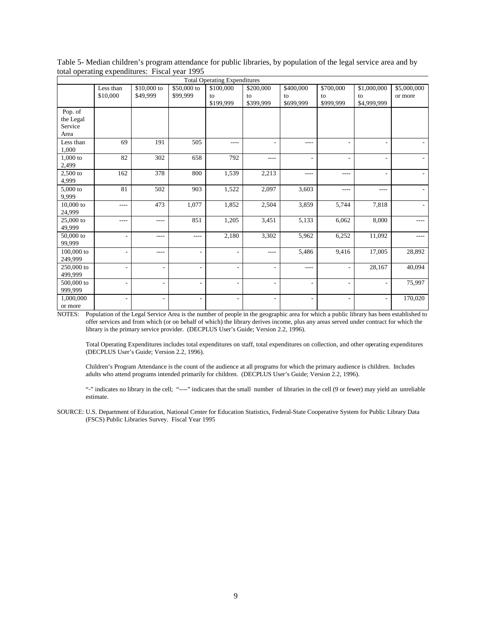| Table 5- Median children's program attendance for public libraries, by population of the legal service area and by |  |
|--------------------------------------------------------------------------------------------------------------------|--|
| total operating expenditures: Fiscal year 1995                                                                     |  |

|            | <b>Total Operating Expenditures</b> |                          |                          |                          |                          |                          |                          |                          |             |  |
|------------|-------------------------------------|--------------------------|--------------------------|--------------------------|--------------------------|--------------------------|--------------------------|--------------------------|-------------|--|
|            | Less than                           | \$10,000 to              | \$50,000 to              | \$100,000                | \$200,000                | \$400,000                | \$700,000                | \$1,000,000              | \$5,000,000 |  |
|            | \$10,000                            | \$49,999                 | \$99,999                 | to                       | to                       | to                       | to                       | to                       | or more     |  |
|            |                                     |                          |                          | \$199,999                | \$399,999                | \$699,999                | \$999,999                | \$4,999,999              |             |  |
| Pop. of    |                                     |                          |                          |                          |                          |                          |                          |                          |             |  |
| the Legal  |                                     |                          |                          |                          |                          |                          |                          |                          |             |  |
| Service    |                                     |                          |                          |                          |                          |                          |                          |                          |             |  |
| Area       |                                     |                          |                          |                          |                          |                          |                          |                          |             |  |
| Less than  | 69                                  | 191                      | 505                      | $---$                    |                          | $- - - -$                |                          | ٠                        |             |  |
| 1,000      |                                     |                          |                          |                          |                          |                          |                          |                          |             |  |
| $1,000$ to | 82                                  | 302                      | 658                      | 792                      | $\cdots$                 | ٠                        | ۰                        | $\overline{\phantom{0}}$ |             |  |
| 2,499      |                                     |                          |                          |                          |                          |                          |                          |                          |             |  |
| 2,500 to   | 162                                 | 378                      | 800                      | 1,539                    | 2,213                    | $- - - -$                | ----                     | $\overline{a}$           |             |  |
| 4,999      |                                     |                          |                          |                          |                          |                          |                          |                          |             |  |
| 5,000 to   | 81                                  | 502                      | 903                      | 1,522                    | 2,097                    | 3,603                    | ----                     | ----                     |             |  |
| 9,999      |                                     |                          |                          |                          |                          |                          |                          |                          |             |  |
| 10,000 to  | $- - - -$                           | 473                      | 1,077                    | 1,852                    | 2,504                    | 3,859                    | 5,744                    | 7,818                    |             |  |
| 24,999     |                                     |                          |                          |                          |                          |                          |                          |                          |             |  |
| 25,000 to  | $- - - -$                           | ----                     | 851                      | 1,205                    | 3,451                    | 5,133                    | 6,062                    | 8,000                    | $- - - -$   |  |
| 49,999     |                                     |                          |                          |                          |                          |                          |                          |                          |             |  |
| 50,000 to  | ä,                                  | ----                     | $- - - -$                | 2,180                    | 3,302                    | 5,962                    | 6,252                    | 11,092                   | $- - - -$   |  |
| 99,999     |                                     |                          |                          |                          |                          |                          |                          |                          |             |  |
| 100,000 to | ÷,                                  | ----                     | ÷,                       | $\overline{\phantom{a}}$ | $\cdots$                 | 5,486                    | 9,416                    | 17,005                   | 28,892      |  |
| 249,999    |                                     |                          |                          |                          |                          |                          |                          |                          |             |  |
| 250,000 to | ۰                                   | $\overline{\phantom{a}}$ | $\overline{\phantom{0}}$ | $\overline{\phantom{a}}$ | $\overline{\phantom{a}}$ | $- - - -$                | ٠                        | 28,167                   | 40,094      |  |
| 499,999    |                                     |                          |                          |                          |                          |                          |                          |                          |             |  |
| 500,000 to | $\overline{\phantom{m}}$            | $\overline{\phantom{a}}$ | $\overline{\phantom{a}}$ | $\overline{\phantom{a}}$ | $\overline{\phantom{a}}$ | ٠                        | ٠                        | $\overline{\phantom{a}}$ | 75,997      |  |
| 999,999    |                                     |                          |                          |                          |                          |                          |                          |                          |             |  |
| 1,000,000  | $\overline{\phantom{m}}$            | $\overline{\phantom{a}}$ | $\overline{\phantom{a}}$ | $\overline{\phantom{a}}$ | $\overline{\phantom{a}}$ | $\overline{\phantom{m}}$ | $\overline{\phantom{a}}$ | $\overline{\phantom{a}}$ | 170,020     |  |
| or more    |                                     |                          |                          |                          |                          |                          |                          |                          |             |  |

 Total Operating Expenditures includes total expenditures on staff, total expenditures on collection, and other operating expenditures (DECPLUS User's Guide; Version 2.2, 1996).

 Children's Program Attendance is the count of the audience at all programs for which the primary audience is children. Includes adults who attend programs intended primarily for children. (DECPLUS User's Guide; Version 2.2, 1996).

"-" indicates no library in the cell; "----" indicates that the small number of libraries in the cell (9 or fewer) may yield an unreliable estimate.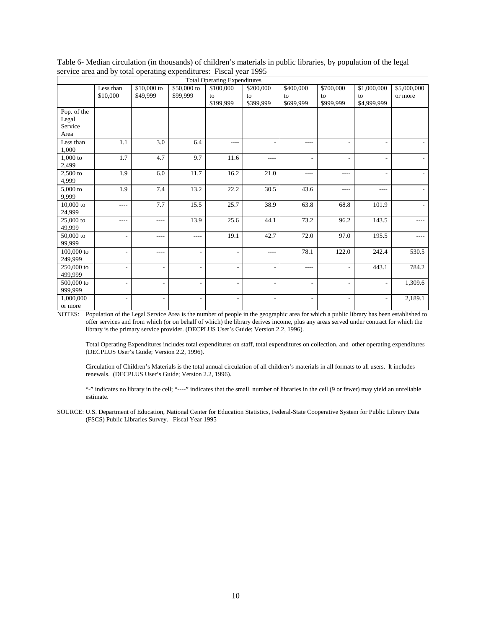| <b>Total Operating Expenditures</b> |                          |                          |                          |                          |                   |                          |                          |                          |             |
|-------------------------------------|--------------------------|--------------------------|--------------------------|--------------------------|-------------------|--------------------------|--------------------------|--------------------------|-------------|
|                                     | Less than                | \$10,000 to              | \$50,000 to              | \$100,000                | \$200,000         | \$400,000                | \$700,000                | \$1,000,000              | \$5,000,000 |
|                                     | \$10,000                 | \$49,999                 | \$99,999                 | to                       | to                | to                       | to                       | to                       | or more     |
|                                     |                          |                          |                          | \$199,999                | \$399.999         | \$699,999                | \$999,999                | \$4,999,999              |             |
| Pop. of the                         |                          |                          |                          |                          |                   |                          |                          |                          |             |
| Legal                               |                          |                          |                          |                          |                   |                          |                          |                          |             |
| Service                             |                          |                          |                          |                          |                   |                          |                          |                          |             |
| Area                                |                          |                          |                          |                          |                   |                          |                          |                          |             |
| Less than                           | 1.1                      | 3.0                      | 6.4                      | $- - - -$                |                   | $- - - -$                |                          | ۰                        |             |
| 1,000                               |                          |                          |                          |                          |                   |                          |                          |                          |             |
| 1,000 to                            | 1.7                      | 4.7                      | 9.7                      | 11.6                     | $---$             | ٠                        | ٠                        | ٠                        |             |
| 2,499                               |                          |                          |                          |                          |                   |                          |                          |                          |             |
| 2,500 to                            | 1.9                      | 6.0                      | 11.7                     | 16.2                     | 21.0              | $- - - -$                | ----                     | ٠                        |             |
| 4,999                               |                          |                          |                          |                          |                   |                          |                          |                          |             |
| 5,000 to                            | 1.9                      | 7.4                      | 13.2                     | 22.2                     | 30.5              | 43.6                     | ----                     | ----                     |             |
| 9,999                               |                          |                          |                          |                          |                   |                          |                          |                          |             |
| $10,000$ to                         | $- - - -$                | 7.7                      | 15.5                     | 25.7                     | $\overline{38.9}$ | 63.8                     | 68.8                     | 101.9                    |             |
| 24,999                              |                          |                          |                          |                          |                   |                          |                          |                          |             |
| 25,000 to                           | ----                     | ----                     | 13.9                     | 25.6                     | 44.1              | 73.2                     | 96.2                     | 143.5                    | ----        |
| 49,999                              |                          |                          |                          |                          |                   |                          |                          |                          |             |
| 50,000 to                           | $\overline{\phantom{a}}$ | $---$                    | $\cdots$                 | 19.1                     | 42.7              | 72.0                     | 97.0                     | 195.5                    | ----        |
| 99,999                              |                          |                          |                          |                          |                   |                          |                          |                          |             |
| 100,000 to                          | $\overline{\phantom{a}}$ | ----                     | $\overline{\phantom{a}}$ | $\overline{\phantom{a}}$ | $---$             | 78.1                     | 122.0                    | 242.4                    | 530.5       |
| 249,999                             |                          |                          |                          |                          |                   |                          |                          |                          |             |
| 250,000 to                          | $\sim$                   | $\overline{\phantom{a}}$ | $\overline{\phantom{a}}$ | $\overline{\phantom{0}}$ | ٠                 | $- - - -$                | ٠                        | 443.1                    | 784.2       |
| 499,999                             |                          |                          |                          |                          |                   |                          |                          |                          |             |
| 500,000 to                          | $\overline{\phantom{a}}$ | $\overline{\phantom{m}}$ | $\overline{\phantom{a}}$ | $\overline{\phantom{a}}$ | ۰                 | ٠                        | $\overline{\phantom{a}}$ | $\overline{\phantom{a}}$ | 1,309.6     |
| 999,999                             |                          |                          |                          |                          |                   |                          |                          |                          |             |
| 1,000,000                           | $\overline{a}$           | $\overline{\phantom{a}}$ | $\overline{\phantom{a}}$ | $\overline{\phantom{0}}$ | ۰                 | $\overline{\phantom{0}}$ | $\overline{\phantom{a}}$ | $\overline{\phantom{0}}$ | 2,189.1     |
| or more                             |                          |                          |                          |                          |                   |                          |                          |                          |             |

Table 6- Median circulation (in thousands) of children's materials in public libraries, by population of the legal service area and by total operating expenditures: Fiscal year 1995

Total Operating Expenditures includes total expenditures on staff, total expenditures on collection, and other operating expenditures (DECPLUS User's Guide; Version 2.2, 1996).

Circulation of Children's Materials is the total annual circulation of all children's materials in all formats to all users. It includes renewals. (DECPLUS User's Guide; Version 2.2, 1996).

"-" indicates no library in the cell; "----" indicates that the small number of libraries in the cell (9 or fewer) may yield an unreliable estimate.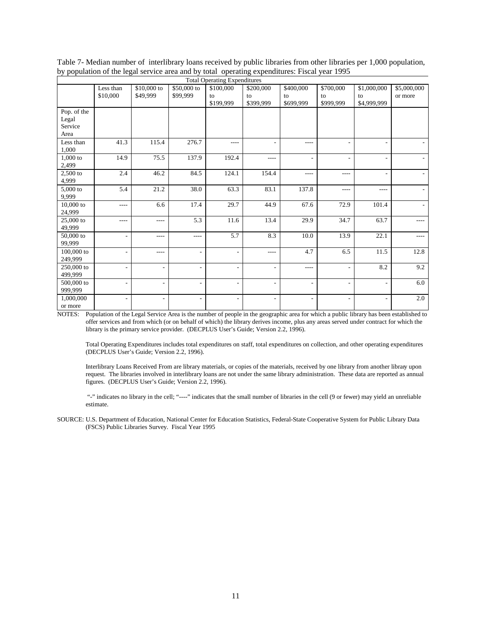| <b>Total Operating Expenditures</b> |                          |                          |                          |                          |           |                          |                          |                          |             |
|-------------------------------------|--------------------------|--------------------------|--------------------------|--------------------------|-----------|--------------------------|--------------------------|--------------------------|-------------|
|                                     | Less than                | \$10,000 to              | \$50,000 to              | \$100,000                | \$200,000 | \$400,000                | \$700,000                | \$1,000,000              | \$5,000,000 |
|                                     | \$10,000                 | \$49,999                 | \$99,999                 | to                       | to        | to                       | to                       | to                       | or more     |
|                                     |                          |                          |                          | \$199,999                | \$399,999 | \$699,999                | \$999,999                | \$4,999,999              |             |
| Pop. of the                         |                          |                          |                          |                          |           |                          |                          |                          |             |
| Legal                               |                          |                          |                          |                          |           |                          |                          |                          |             |
| Service                             |                          |                          |                          |                          |           |                          |                          |                          |             |
| Area                                |                          |                          |                          |                          |           |                          |                          |                          |             |
| Less than                           | 41.3                     | 115.4                    | 276.7                    | $- - - -$                |           | $- - - -$                |                          | ٠                        |             |
| 1,000                               |                          |                          |                          |                          |           |                          |                          |                          |             |
| 1,000 to                            | 14.9                     | 75.5                     | 137.9                    | 192.4                    | $- - - -$ | ٠                        | ٠                        | ٠                        |             |
| 2,499                               |                          |                          |                          |                          |           |                          |                          |                          |             |
| 2,500 to                            | 2.4                      | 46.2                     | 84.5                     | 124.1                    | 154.4     | $- - - -$                | ----                     | ٠                        |             |
| 4,999                               |                          |                          |                          |                          |           |                          |                          |                          |             |
| 5,000 to                            | 5.4                      | 21.2                     | 38.0                     | 63.3                     | 83.1      | 137.8                    | ----                     | ----                     |             |
| 9,999                               |                          |                          |                          |                          |           |                          |                          |                          |             |
| $10,000$ to                         | $- - - -$                | 6.6                      | 17.4                     | 29.7                     | 44.9      | 67.6                     | 72.9                     | 101.4                    |             |
| 24,999                              |                          |                          |                          |                          |           |                          |                          |                          |             |
| 25,000 to                           | ----                     | ----                     | 5.3                      | 11.6                     | 13.4      | 29.9                     | 34.7                     | 63.7                     | ----        |
| 49,999                              |                          |                          |                          |                          |           |                          |                          |                          |             |
| $50,000$ to                         | $\overline{\phantom{a}}$ | $---$                    | $\cdots$                 | 5.7                      | 8.3       | 10.0                     | 13.9                     | 22.1                     | ----        |
| 99,999                              |                          |                          |                          |                          |           |                          |                          |                          |             |
| 100,000 to                          | $\overline{\phantom{a}}$ | ----                     | $\overline{\phantom{a}}$ | $\overline{\phantom{a}}$ | $---$     | 4.7                      | 6.5                      | 11.5                     | 12.8        |
| 249,999                             |                          |                          |                          |                          |           |                          |                          |                          |             |
| 250,000 to                          | $\sim$                   | $\overline{\phantom{a}}$ | $\overline{\phantom{a}}$ | $\overline{\phantom{0}}$ | ۰         | $- - - -$                | ٠                        | 8.2                      | 9.2         |
| 499,999                             |                          |                          |                          |                          |           |                          |                          |                          |             |
| 500,000 to                          | $\overline{\phantom{a}}$ | $\overline{\phantom{m}}$ | $\overline{\phantom{a}}$ | $\overline{\phantom{a}}$ | ۰         | ٠                        | $\overline{\phantom{a}}$ | $\overline{\phantom{a}}$ | 6.0         |
| 999,999                             |                          |                          |                          |                          |           |                          |                          |                          |             |
| 1,000,000                           | $\overline{a}$           | $\overline{\phantom{a}}$ | $\overline{\phantom{a}}$ | $\overline{\phantom{0}}$ | ۰         | $\overline{\phantom{0}}$ | ٠                        | $\overline{\phantom{a}}$ | $2.0\,$     |
| or more                             |                          |                          |                          |                          |           |                          |                          |                          |             |

Table 7- Median number of interlibrary loans received by public libraries from other libraries per 1,000 population, by population of the legal service area and by total operating expenditures: Fiscal year 1995

Total Operating Expenditures includes total expenditures on staff, total expenditures on collection, and other operating expenditures (DECPLUS User's Guide; Version 2.2, 1996).

Interlibrary Loans Received From are library materials, or copies of the materials, received by one library from another library upon request. The libraries involved in interlibrary loans are not under the same library administration. These data are reported as annual figures. (DECPLUS User's Guide; Version 2.2, 1996).

 "-" indicates no library in the cell; "----" indicates that the small number of libraries in the cell (9 or fewer) may yield an unreliable estimate.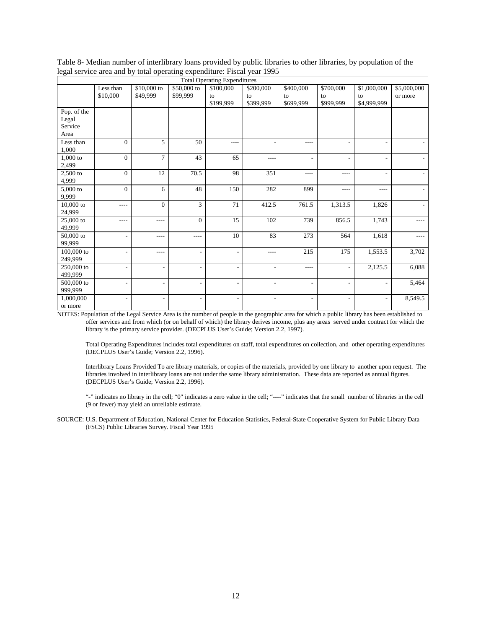| <b>Total Operating Expenditures</b> |                          |                          |                          |                          |                          |                          |                          |                          |             |
|-------------------------------------|--------------------------|--------------------------|--------------------------|--------------------------|--------------------------|--------------------------|--------------------------|--------------------------|-------------|
|                                     | Less than                | \$10,000 to              | \$50,000 to              | \$100,000                | \$200,000                | \$400,000                | \$700,000                | \$1,000,000              | \$5,000,000 |
|                                     | \$10,000                 | \$49,999                 | \$99,999                 | to                       | to                       | to                       | to                       | to                       | or more     |
|                                     |                          |                          |                          | \$199,999                | \$399,999                | \$699,999                | \$999,999                | \$4,999,999              |             |
| Pop. of the                         |                          |                          |                          |                          |                          |                          |                          |                          |             |
| Legal                               |                          |                          |                          |                          |                          |                          |                          |                          |             |
| Service                             |                          |                          |                          |                          |                          |                          |                          |                          |             |
| Area                                |                          |                          |                          |                          |                          |                          |                          |                          |             |
| Less than                           | $\Omega$                 | 5                        | 50                       | $- - - -$                |                          | $- - - -$                |                          | $\overline{\phantom{a}}$ |             |
| 1,000                               |                          |                          |                          |                          |                          |                          |                          |                          |             |
| 1,000 to                            | $\Omega$                 | $\overline{7}$           | 43                       | 65                       | $- - - -$                | ٠                        | ٠                        | ٠                        |             |
| 2,499                               |                          |                          |                          |                          |                          |                          |                          |                          |             |
| 2,500 to                            | $\Omega$                 | 12                       | 70.5                     | 98                       | 351                      | $- - - -$                | ----                     | ٠                        |             |
| 4,999                               |                          |                          |                          |                          |                          |                          |                          |                          |             |
| 5,000 to                            | $\mathbf{0}$             | 6                        | 48                       | 150                      | 282                      | 899                      | ----                     | ----                     |             |
| 9,999                               |                          |                          |                          |                          |                          |                          |                          |                          |             |
| $10,000$ to                         | ----                     | $\theta$                 | 3                        | 71                       | 412.5                    | 761.5                    | 1,313.5                  | 1,826                    |             |
| 24,999                              |                          |                          |                          |                          |                          |                          |                          |                          |             |
| 25,000 to                           | ----                     | ----                     | $\overline{0}$           | 15                       | 102                      | 739                      | 856.5                    | 1,743                    | ----        |
| 49,999                              |                          |                          |                          |                          |                          |                          |                          |                          |             |
| $50,\!000$ to                       | $\overline{\phantom{a}}$ | $---$                    | $\cdots$                 | 10                       | 83                       | 273                      | 564                      | 1,618                    | ----        |
| 99,999                              |                          |                          |                          |                          |                          |                          |                          |                          |             |
| 100,000 to                          | $\overline{\phantom{a}}$ | $---$                    | $\overline{\phantom{a}}$ | $\overline{\phantom{a}}$ | $- - - -$                | 215                      | 175                      | 1,553.5                  | 3,702       |
| 249,999                             |                          |                          |                          |                          |                          |                          |                          |                          |             |
| 250,000 to                          | $\sim$                   | $\overline{\phantom{a}}$ | $\overline{\phantom{a}}$ | $\overline{\phantom{0}}$ | ۰                        | $- - - -$                | $\overline{\phantom{a}}$ | 2,125.5                  | 6,088       |
| 499,999                             |                          |                          |                          |                          |                          |                          |                          |                          |             |
| 500,000 to                          | $\overline{\phantom{a}}$ | $\overline{\phantom{m}}$ | $\overline{\phantom{a}}$ | $\overline{\phantom{a}}$ | $\overline{\phantom{a}}$ | ٠                        | $\overline{\phantom{a}}$ | $\overline{\phantom{a}}$ | 5,464       |
| 999,999                             |                          |                          |                          |                          |                          |                          |                          |                          |             |
| 1,000,000                           | $\overline{a}$           | $\overline{\phantom{a}}$ | $\overline{\phantom{a}}$ | $\overline{\phantom{a}}$ | ۰                        | $\overline{\phantom{0}}$ | $\overline{\phantom{a}}$ | $\overline{a}$           | 8,549.5     |
| or more                             |                          |                          |                          |                          |                          |                          |                          |                          |             |

Table 8- Median number of interlibrary loans provided by public libraries to other libraries, by population of the legal service area and by total operating expenditure: Fiscal year 1995

Total Operating Expenditures includes total expenditures on staff, total expenditures on collection, and other operating expenditures (DECPLUS User's Guide; Version 2.2, 1996).

Interlibrary Loans Provided To are library materials, or copies of the materials, provided by one library to another upon request. The libraries involved in interlibrary loans are not under the same library administration. These data are reported as annual figures. (DECPLUS User's Guide; Version 2.2, 1996).

"-" indicates no library in the cell; "0" indicates a zero value in the cell; "----" indicates that the small number of libraries in the cell (9 or fewer) may yield an unreliable estimate.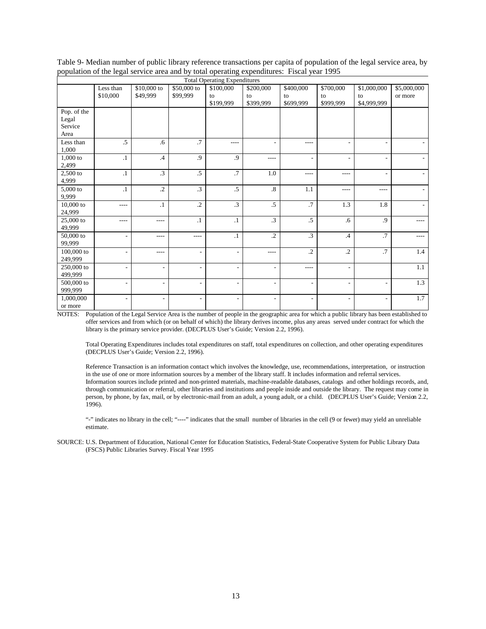| Table 9- Median number of public library reference transactions per capita of population of the legal service area, by |
|------------------------------------------------------------------------------------------------------------------------|
| population of the legal service area and by total operating expenditures: Fiscal year 1995                             |

| <b>Total Operating Expenditures</b> |           |                          |                          |                              |                          |                          |                          |                          |             |  |
|-------------------------------------|-----------|--------------------------|--------------------------|------------------------------|--------------------------|--------------------------|--------------------------|--------------------------|-------------|--|
|                                     | Less than | $$10,000$ to             | \$50,000 to              | \$100,000                    | \$200,000                | \$400,000                | \$700,000                | \$1,000,000              | \$5,000,000 |  |
|                                     | \$10,000  | \$49,999                 | \$99,999                 | to                           | to                       | to                       | to                       | to                       | or more     |  |
|                                     |           |                          |                          | \$199,999                    | \$399,999                | \$699,999                | \$999,999                | \$4,999,999              |             |  |
| Pop. of the                         |           |                          |                          |                              |                          |                          |                          |                          |             |  |
| Legal                               |           |                          |                          |                              |                          |                          |                          |                          |             |  |
| Service                             |           |                          |                          |                              |                          |                          |                          |                          |             |  |
| Area                                |           |                          |                          |                              |                          |                          |                          |                          |             |  |
| Less than                           | .5        | .6                       | $\overline{.7}$          | $---$                        |                          | $---$                    | ٠                        | $\overline{\phantom{a}}$ |             |  |
| 1,000                               |           |                          |                          |                              |                          |                          |                          |                          |             |  |
| 1,000 to                            | $\cdot$ 1 | $\mathcal{A}$            | .9                       | .9                           | $- - - -$                | ٠                        | $\overline{\phantom{a}}$ | $\overline{\phantom{a}}$ |             |  |
| 2,499                               |           |                          |                          |                              |                          |                          |                          |                          |             |  |
| 2,500 to                            | $\cdot$ 1 | $\cdot$ 3                | .5                       | .7                           | 1.0                      | $---$                    | $---$                    | $\overline{\phantom{a}}$ |             |  |
| 4,999                               |           |                          |                          |                              |                          |                          |                          |                          |             |  |
| $5,000$ to                          | $\cdot$   | $\cdot$ .2               | $\cdot$ 3                | $\cdot$ 5                    | $\cdot$ <sup>8</sup> .   | 1.1                      | $- - - -$                | $- - - -$                |             |  |
| 9,999                               |           |                          |                          |                              |                          |                          |                          |                          |             |  |
| $10,000$ to                         | $---$     | $\cdot$ 1                | $\cdot$ .2               | $\cdot$ 3                    | $.5\,$                   | .7                       | 1.3                      | 1.8                      |             |  |
| 24,999                              |           |                          |                          |                              |                          |                          |                          |                          |             |  |
| 25,000 to                           | ----      | ----                     | $\cdot$                  | $\cdot$ 1                    | $\cdot$ 3                | $.5\,$                   | .6                       | .9                       | $- - - -$   |  |
| 49,999                              |           |                          |                          |                              |                          |                          |                          |                          |             |  |
| 50,000 to                           | ۰         | ----                     | $- - - -$                | $\cdot$ 1                    | $\cdot$ .2               | $\cdot$ 3                | $\cdot$                  | .7                       | $- - -$     |  |
| 99,999                              |           |                          |                          |                              |                          |                          |                          |                          |             |  |
| $100,000$ to                        | ٠         | ----                     | ÷,                       | $\qquad \qquad \blacksquare$ | $- - - -$                | $\cdot$ .2               | $\cdot$                  | .7                       | 1.4         |  |
| 249,999                             |           |                          |                          |                              |                          |                          |                          |                          |             |  |
| 250,000 to                          | ٠         | $\overline{\phantom{a}}$ | $\overline{\phantom{a}}$ | $\overline{\phantom{a}}$     | $\overline{\phantom{a}}$ | $--- -$                  | ٠                        |                          | 1.1         |  |
| 499,999                             |           |                          |                          |                              |                          |                          |                          |                          |             |  |
| 500,000 to                          | ٠         | $\overline{\phantom{a}}$ | ٠                        | $\overline{\phantom{a}}$     | $\overline{\phantom{a}}$ | ٠                        | ٠                        | $\overline{\phantom{a}}$ | 1.3         |  |
| 999,999                             |           |                          |                          |                              |                          |                          |                          |                          |             |  |
| 1,000,000                           | ۰         | $\overline{\phantom{a}}$ | $\overline{\phantom{a}}$ | $\overline{\phantom{a}}$     | $\overline{\phantom{0}}$ | $\overline{\phantom{0}}$ | $\overline{\phantom{a}}$ | $\overline{\phantom{a}}$ | 1.7         |  |
| or more                             |           |                          |                          |                              |                          |                          |                          |                          |             |  |

Total Operating Expenditures includes total expenditures on staff, total expenditures on collection, and other operating expenditures (DECPLUS User's Guide; Version 2.2, 1996).

Reference Transaction is an information contact which involves the knowledge, use, recommendations, interpretation, or instruction in the use of one or more information sources by a member of the library staff. It includes information and referral services. Information sources include printed and non-printed materials, machine-readable databases, catalogs and other holdings records, and, through communication or referral, other libraries and institutions and people inside and outside the library. The request may come in person, by phone, by fax, mail, or by electronic-mail from an adult, a young adult, or a child. (DECPLUS User's Guide; Version 2.2, 1996).

"-" indicates no library in the cell; "----" indicates that the small number of libraries in the cell (9 or fewer) may yield an unreliable estimate.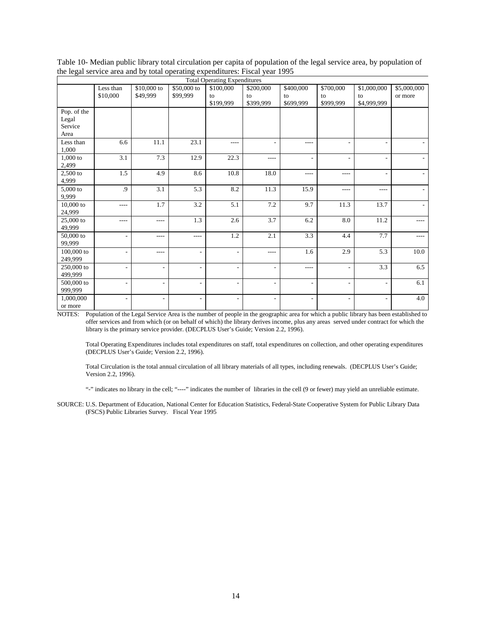|             | <b>Total Operating Expenditures</b> |                          |                          |                          |                          |                |                          |                          |             |  |
|-------------|-------------------------------------|--------------------------|--------------------------|--------------------------|--------------------------|----------------|--------------------------|--------------------------|-------------|--|
|             | Less than                           | $$10,000$ to             | \$50,000 to              | \$100,000                | \$200,000                | \$400,000      | \$700,000                | \$1,000,000              | \$5,000,000 |  |
|             | \$10,000                            | \$49,999                 | \$99,999                 | to                       | to                       | to             | to                       | to                       | or more     |  |
|             |                                     |                          |                          | \$199,999                | \$399,999                | \$699,999      | \$999,999                | \$4,999,999              |             |  |
| Pop. of the |                                     |                          |                          |                          |                          |                |                          |                          |             |  |
| Legal       |                                     |                          |                          |                          |                          |                |                          |                          |             |  |
| Service     |                                     |                          |                          |                          |                          |                |                          |                          |             |  |
| Area        |                                     |                          |                          |                          |                          |                |                          |                          |             |  |
| Less than   | 6.6                                 | 11.1                     | 23.1                     | $- - - -$                |                          | $---$          |                          | ٠                        |             |  |
| 1,000       |                                     |                          |                          |                          |                          |                |                          |                          |             |  |
| $1,000$ to  | 3.1                                 | 7.3                      | 12.9                     | 22.3                     | $---$                    | ٠              | $\overline{\phantom{a}}$ | ٠                        |             |  |
| 2,499       |                                     |                          |                          |                          |                          |                |                          |                          |             |  |
| $2,500$ to  | 1.5                                 | 4.9                      | 8.6                      | 10.8                     | 18.0                     | $- - - -$      | $---$                    |                          |             |  |
| 4,999       |                                     |                          |                          |                          |                          |                |                          |                          |             |  |
| $5,000$ to  | .9                                  | 3.1                      | 5.3                      | 8.2                      | 11.3                     | 15.9           | $---$                    | $- - - -$                |             |  |
| 9,999       |                                     |                          |                          |                          |                          |                |                          |                          |             |  |
| $10,000$ to | $- - - -$                           | 1.7                      | 3.2                      | 5.1                      | 7.2                      | 9.7            | 11.3                     | 13.7                     |             |  |
| 24,999      |                                     |                          |                          |                          |                          |                |                          |                          |             |  |
| 25,000 to   | ----                                | ----                     | 1.3                      | 2.6                      | 3.7                      | 6.2            | 8.0                      | 11.2                     | $- - - -$   |  |
| 49,999      |                                     |                          |                          |                          |                          |                |                          |                          |             |  |
| 50,000 to   | ٠                                   | ----                     | $---$                    | $1.2\,$                  | 2.1                      | 3.3            | 4.4                      | 7.7                      | $---$       |  |
| 99,999      |                                     |                          |                          |                          |                          |                |                          |                          |             |  |
| 100,000 to  | ٠                                   | ----                     | $\overline{\phantom{m}}$ | $\overline{\phantom{a}}$ | $\cdots$                 | 1.6            | 2.9                      | 5.3                      | 10.0        |  |
| 249,999     |                                     |                          |                          |                          |                          |                |                          |                          |             |  |
| 250,000 to  | ٠                                   | $\overline{\phantom{a}}$ | $\overline{\phantom{a}}$ | $\overline{\phantom{a}}$ | $\overline{\phantom{a}}$ | $- - - -$      | $\overline{\phantom{a}}$ | 3.3                      | 6.5         |  |
| 499,999     |                                     |                          |                          |                          |                          |                |                          |                          |             |  |
| 500,000 to  | ٠                                   | $\overline{\phantom{a}}$ | $\overline{\phantom{a}}$ | $\overline{\phantom{a}}$ | $\overline{\phantom{a}}$ | ٠              | $\overline{\phantom{a}}$ | $\overline{\phantom{a}}$ | 6.1         |  |
| 999,999     |                                     |                          |                          |                          |                          |                |                          |                          |             |  |
| 1,000,000   | ۰                                   | $\overline{\phantom{a}}$ | $\overline{\phantom{a}}$ | $\overline{\phantom{a}}$ | $\overline{\phantom{a}}$ | $\overline{a}$ | ٠                        | $\overline{\phantom{a}}$ | 4.0         |  |
| or more     |                                     |                          |                          |                          |                          |                |                          |                          |             |  |

Table 10- Median public library total circulation per capita of population of the legal service area, by population of the legal service area and by total operating expenditures: Fiscal year 1995

Total Operating Expenditures includes total expenditures on staff, total expenditures on collection, and other operating expenditures (DECPLUS User's Guide; Version 2.2, 1996).

Total Circulation is the total annual circulation of all library materials of all types, including renewals. (DECPLUS User's Guide; Version 2.2, 1996).

"-" indicates no library in the cell; "----" indicates the number of libraries in the cell (9 or fewer) may yield an unreliable estimate.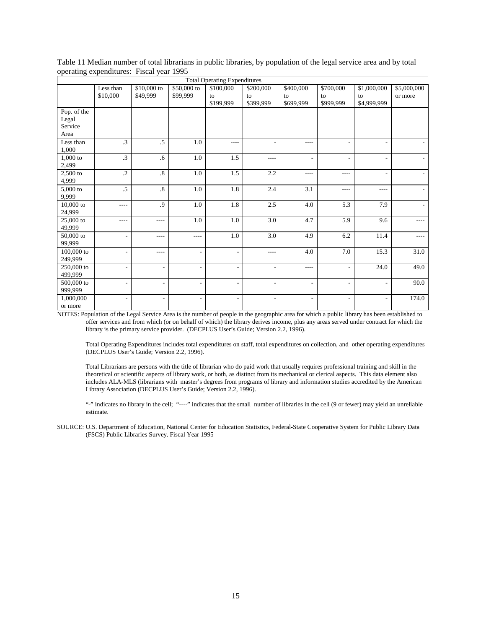| Table 11 Median number of total librarians in public libraries, by population of the legal service area and by total |
|----------------------------------------------------------------------------------------------------------------------|
| operating expenditures: Fiscal year 1995                                                                             |

|             | <b>Total Operating Expenditures</b> |                          |                          |                          |                          |                          |                          |                          |             |  |
|-------------|-------------------------------------|--------------------------|--------------------------|--------------------------|--------------------------|--------------------------|--------------------------|--------------------------|-------------|--|
|             | Less than                           | $$10,000$ to             | \$50,000 to              | \$100,000                | \$200,000                | \$400,000                | \$700,000                | \$1,000,000              | \$5,000,000 |  |
|             | \$10,000                            | \$49,999                 | \$99,999                 | to                       | to                       | to                       | to                       | to                       | or more     |  |
|             |                                     |                          |                          | \$199,999                | \$399,999                | \$699,999                | \$999,999                | \$4,999,999              |             |  |
| Pop. of the |                                     |                          |                          |                          |                          |                          |                          |                          |             |  |
| Legal       |                                     |                          |                          |                          |                          |                          |                          |                          |             |  |
| Service     |                                     |                          |                          |                          |                          |                          |                          |                          |             |  |
| Area        |                                     |                          |                          |                          |                          |                          |                          |                          |             |  |
| Less than   | $\cdot$ 3                           | $.5\,$                   | 1.0                      | $---$                    |                          | $---$                    |                          | ٠                        |             |  |
| 1,000       |                                     |                          |                          |                          |                          |                          |                          |                          |             |  |
| $1,000$ to  | .3                                  | .6                       | $1.0\,$                  | 1.5                      | $- - - -$                | ٠                        | $\overline{\phantom{a}}$ | $\overline{\phantom{a}}$ |             |  |
| 2,499       |                                     |                          |                          |                          |                          |                          |                          |                          |             |  |
| $2,500$ to  | $\cdot$                             | $\overline{8}$           | 1.0                      | 1.5                      | 2.2                      | $- - - -$                | ----                     | $\overline{\phantom{a}}$ |             |  |
| 4,999       |                                     |                          |                          |                          |                          |                          |                          |                          |             |  |
| $5,000$ to  | $.5\,$                              | $\boldsymbol{.8}$        | 1.0                      | 1.8                      | 2.4                      | 3.1                      | $---$                    | $---$                    |             |  |
| 9,999       |                                     |                          |                          |                          |                          |                          |                          |                          |             |  |
| $10,000$ to | $- - - -$                           | .9                       | 1.0                      | 1.8                      | 2.5                      | 4.0                      | 5.3                      | 7.9                      |             |  |
| 24,999      |                                     |                          |                          |                          |                          |                          |                          |                          |             |  |
| 25,000 to   | ----                                | ----                     | 1.0                      | 1.0                      | 3.0                      | 4.7                      | 5.9                      | 9.6                      | $- - - -$   |  |
| 49,999      |                                     |                          |                          |                          |                          |                          |                          |                          |             |  |
| 50,000 to   | ÷                                   | ----                     | $- - - -$                | 1.0                      | 3.0                      | 4.9                      | 6.2                      | 11.4                     | $---$       |  |
| 99,999      |                                     |                          |                          |                          |                          |                          |                          |                          |             |  |
| 100,000 to  | ٠                                   | ----                     | ÷,                       | $\overline{\phantom{a}}$ | $- - - -$                | 4.0                      | 7.0                      | 15.3                     | 31.0        |  |
| 249,999     |                                     |                          |                          |                          |                          |                          |                          |                          |             |  |
| 250,000 to  | ٠                                   | $\overline{\phantom{a}}$ | $\overline{\phantom{a}}$ | $\overline{\phantom{a}}$ | $\overline{\phantom{a}}$ | $---$                    | $\overline{\phantom{a}}$ | 24.0                     | 49.0        |  |
| 499,999     |                                     |                          |                          |                          |                          |                          |                          |                          |             |  |
| 500,000 to  | ٠                                   | $\overline{\phantom{a}}$ | $\overline{\phantom{a}}$ | $\overline{\phantom{a}}$ | $\overline{\phantom{a}}$ | ٠                        | $\overline{\phantom{a}}$ | $\overline{\phantom{a}}$ | 90.0        |  |
| 999,999     |                                     |                          |                          |                          |                          |                          |                          |                          |             |  |
| 1,000,000   | $\overline{\phantom{m}}$            | $\overline{\phantom{a}}$ | $\overline{\phantom{a}}$ | $\overline{\phantom{a}}$ | $\overline{\phantom{a}}$ | $\overline{\phantom{m}}$ | $\overline{\phantom{a}}$ | $\overline{\phantom{a}}$ | 174.0       |  |
| or more     |                                     |                          |                          |                          |                          |                          |                          |                          |             |  |

Total Operating Expenditures includes total expenditures on staff, total expenditures on collection, and other operating expenditures (DECPLUS User's Guide; Version 2.2, 1996).

Total Librarians are persons with the title of librarian who do paid work that usually requires professional training and skill in the theoretical or scientific aspects of library work, or both, as distinct from its mechanical or clerical aspects. This data element also includes ALA-MLS (librarians with master's degrees from programs of library and information studies accredited by the American Library Association (DECPLUS User's Guide; Version 2.2, 1996).

"-" indicates no library in the cell; "----" indicates that the small number of libraries in the cell (9 or fewer) may yield an unreliable estimate.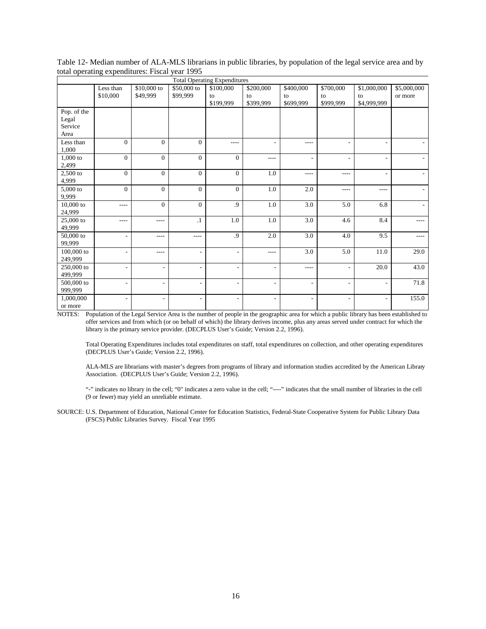| Table 12- Median number of ALA-MLS librarians in public libraries, by population of the legal service area and by |  |
|-------------------------------------------------------------------------------------------------------------------|--|
| total operating expenditures: Fiscal year 1995                                                                    |  |

| <b>Total Operating Expenditures</b> |                |                          |                          |                              |                          |           |                          |                          |             |
|-------------------------------------|----------------|--------------------------|--------------------------|------------------------------|--------------------------|-----------|--------------------------|--------------------------|-------------|
|                                     | Less than      | $$10,000$ to             | \$50,000 to              | \$100,000                    | \$200,000                | \$400,000 | \$700,000                | \$1,000,000              | \$5,000,000 |
|                                     | \$10,000       | \$49,999                 | \$99,999                 | to                           | to                       | to        | to                       | to                       | or more     |
|                                     |                |                          |                          | \$199,999                    | \$399,999                | \$699,999 | \$999,999                | \$4,999,999              |             |
| Pop. of the                         |                |                          |                          |                              |                          |           |                          |                          |             |
| Legal                               |                |                          |                          |                              |                          |           |                          |                          |             |
| Service                             |                |                          |                          |                              |                          |           |                          |                          |             |
| Area                                |                |                          |                          |                              |                          |           |                          |                          |             |
| Less than                           | $\Omega$       | $\Omega$                 | $\Omega$                 | ----                         |                          | $---$     |                          | $\overline{\phantom{a}}$ |             |
| 1,000                               |                |                          |                          |                              |                          |           |                          |                          |             |
| 1,000 to                            | $\Omega$       | $\Omega$                 | $\Omega$                 | $\mathbf{0}$                 | $- - - -$                | ٠         | ٠                        | $\overline{\phantom{a}}$ |             |
| 2,499                               |                |                          |                          |                              |                          |           |                          |                          |             |
| 2,500 to                            | $\Omega$       | $\Omega$                 | $\Omega$                 | $\Omega$                     | 1.0                      | $- - - -$ | ----                     | ٠                        |             |
| 4,999                               |                |                          |                          |                              |                          |           |                          |                          |             |
| $5,000$ to                          | $\overline{0}$ | $\mathbf{0}$             | $\overline{0}$           | $\overline{0}$               | 1.0                      | 2.0       | ----                     | $- - - -$                |             |
| 9,999                               |                |                          |                          |                              |                          |           |                          |                          |             |
| $10,000$ to                         | $- - - -$      | $\Omega$                 | $\Omega$                 | .9                           | 1.0                      | 3.0       | 5.0                      | 6.8                      |             |
| 24,999                              |                |                          |                          |                              |                          |           |                          |                          |             |
| 25,000 to                           | ----           | ----                     | $\cdot$                  | 1.0                          | 1.0                      | 3.0       | 4.6                      | 8.4                      | $- - - -$   |
| 49,999                              |                |                          |                          |                              |                          |           |                          |                          |             |
| 50,000 to                           | L,             | ----                     | $- - - -$                | .9                           | 2.0                      | 3.0       | 4.0                      | 9.5                      | $---$       |
| 99,999                              |                |                          |                          |                              |                          |           |                          |                          |             |
| 100,000 to                          | ٠              | ----                     | ٠                        | $\qquad \qquad \blacksquare$ | $- - - -$                | 3.0       | 5.0                      | 11.0                     | 29.0        |
| 249,999                             |                |                          |                          |                              |                          |           |                          |                          |             |
| 250,000 to                          | ٠              | $\overline{\phantom{a}}$ | $\overline{\phantom{a}}$ | $\overline{\phantom{a}}$     | $\overline{\phantom{0}}$ | $- - - -$ | ٠                        | 20.0                     | 43.0        |
| 499,999                             |                |                          |                          |                              |                          |           |                          |                          |             |
| 500,000 to                          | ٠              | $\overline{\phantom{a}}$ | ÷,                       | $\overline{\phantom{a}}$     | $\overline{\phantom{a}}$ | ٠         | $\overline{\phantom{a}}$ | $\overline{\phantom{a}}$ | 71.8        |
| 999,999                             |                |                          |                          |                              |                          |           |                          |                          |             |
| 1,000,000                           | ۰              | $\overline{\phantom{a}}$ | ٠                        | $\overline{\phantom{a}}$     | $\overline{\phantom{a}}$ | ٠         | $\overline{\phantom{a}}$ | $\overline{\phantom{a}}$ | 155.0       |
| or more                             |                |                          |                          |                              |                          |           |                          |                          |             |

Total Operating Expenditures includes total expenditures on staff, total expenditures on collection, and other operating expenditures (DECPLUS User's Guide; Version 2.2, 1996).

ALA-MLS are librarians with master's degrees from programs of library and information studies accredited by the American Library Association. (DECPLUS User's Guide; Version 2.2, 1996).

"-" indicates no library in the cell; "0" indicates a zero value in the cell; "----" indicates that the small number of libraries in the cell (9 or fewer) may yield an unreliable estimate.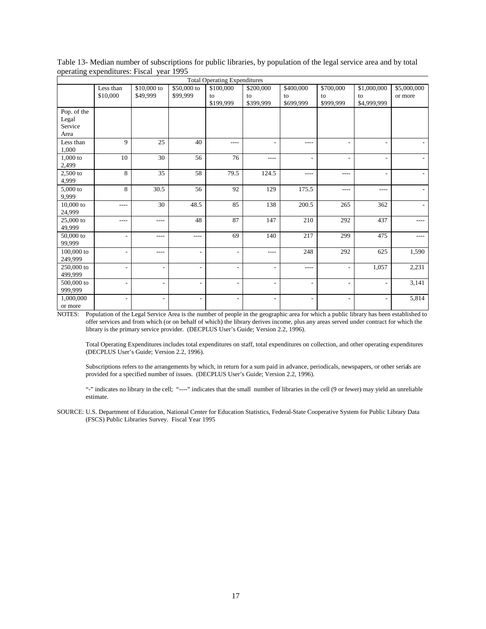| <b>Total Operating Expenditures</b> |                          |                          |                          |                          |                              |                          |                          |                          |             |
|-------------------------------------|--------------------------|--------------------------|--------------------------|--------------------------|------------------------------|--------------------------|--------------------------|--------------------------|-------------|
|                                     | Less than                | \$10,000 to              | \$50,000 to              | \$100,000                | \$200,000                    | \$400,000                | \$700,000                | \$1,000,000              | \$5,000,000 |
|                                     | \$10,000                 | \$49,999                 | \$99,999                 | to                       | to                           | to                       | to                       | to                       | or more     |
|                                     |                          |                          |                          | \$199,999                | \$399,999                    | \$699,999                | \$999,999                | \$4,999,999              |             |
| Pop. of the                         |                          |                          |                          |                          |                              |                          |                          |                          |             |
| Legal                               |                          |                          |                          |                          |                              |                          |                          |                          |             |
| Service                             |                          |                          |                          |                          |                              |                          |                          |                          |             |
| Area                                |                          |                          |                          |                          |                              |                          |                          |                          |             |
| Less than                           | 9                        | 25                       | 40                       | $- - - -$                |                              | $- - - -$                | ۰                        | $\overline{\phantom{a}}$ |             |
| 1,000                               |                          |                          |                          |                          |                              |                          |                          |                          |             |
| 1,000 to                            | 10                       | 30                       | 56                       | 76                       | $---$                        | ٠                        | ٠                        | ٠                        |             |
| 2,499                               |                          |                          |                          |                          |                              |                          |                          |                          |             |
| 2,500 to                            | 8                        | 35                       | 58                       | 79.5                     | 124.5                        | $- - - -$                | ----                     | ٠                        |             |
| 4,999                               |                          |                          |                          |                          |                              |                          |                          |                          |             |
| 5,000 to                            | 8                        | 30.5                     | 56                       | 92                       | 129                          | 175.5                    | ----                     | $- - - -$                |             |
| 9,999                               |                          |                          |                          |                          |                              |                          |                          |                          |             |
| $10,000$ to                         | ----                     | 30                       | 48.5                     | 85                       | 138                          | 200.5                    | 265                      | 362                      |             |
| 24,999                              |                          |                          |                          |                          |                              |                          |                          |                          |             |
| 25,000 to                           | ----                     | ----                     | 48                       | 87                       | 147                          | 210                      | 292                      | 437                      | $---$       |
| 49,999                              |                          |                          |                          |                          |                              |                          |                          |                          |             |
| 50,000 to                           | $\overline{\phantom{a}}$ | $---$                    | $\cdots$                 | 69                       | 140                          | 217                      | 299                      | 475                      | ----        |
| 99,999                              |                          |                          |                          |                          |                              |                          |                          |                          |             |
| 100,000 to                          | $\overline{\phantom{a}}$ | $---$                    | $\overline{\phantom{a}}$ | $\overline{\phantom{a}}$ | $- - - -$                    | 248                      | 292                      | 625                      | 1,590       |
| 249,999                             |                          |                          |                          |                          |                              |                          |                          |                          |             |
| 250,000 to                          | $\sim$                   | $\overline{\phantom{a}}$ | $\overline{\phantom{a}}$ | $\overline{\phantom{0}}$ | ٠                            | $- - - -$                | ٠                        | 1,057                    | 2,231       |
| 499,999                             |                          |                          |                          |                          |                              |                          |                          |                          |             |
| 500,000 to                          | $\overline{\phantom{a}}$ | $\overline{\phantom{m}}$ | $\overline{\phantom{a}}$ | $\overline{\phantom{a}}$ | $\overline{\phantom{a}}$     | ٠                        | $\overline{\phantom{a}}$ | $\overline{\phantom{a}}$ | 3,141       |
| 999,999                             |                          |                          |                          |                          |                              |                          |                          |                          |             |
| 1,000,000                           | $\overline{a}$           | $\overline{\phantom{a}}$ | $\overline{\phantom{a}}$ | $\overline{\phantom{a}}$ | $\qquad \qquad \blacksquare$ | $\overline{\phantom{0}}$ | $\overline{\phantom{a}}$ | $\overline{a}$           | 5,814       |
| or more                             |                          |                          |                          |                          |                              |                          |                          |                          |             |

Table 13- Median number of subscriptions for public libraries, by population of the legal service area and by total operating expenditures: Fiscal year 1995

Total Operating Expenditures includes total expenditures on staff, total expenditures on collection, and other operating expenditures (DECPLUS User's Guide; Version 2.2, 1996).

Subscriptions refers to the arrangements by which, in return for a sum paid in advance, periodicals, newspapers, or other serials are provided for a specified number of issues. (DECPLUS User's Guide; Version 2.2, 1996).

"-" indicates no library in the cell; "----" indicates that the small number of libraries in the cell (9 or fewer) may yield an unreliable estimate.